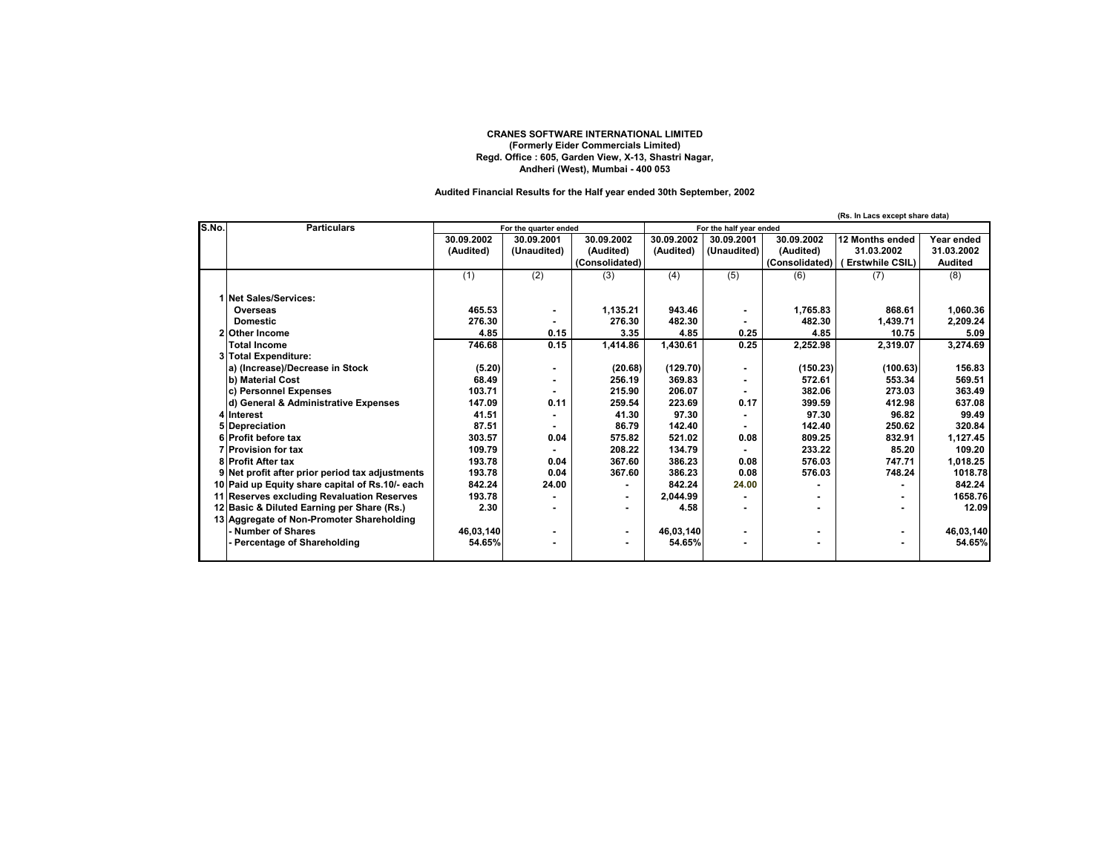## **CRANES SOFTWARE INTERNATIONAL LIMITED (Formerly Eider Commercials Limited) Regd. Office : 605, Garden View, X-13, Shastri Nagar, Andheri (West), Mumbai - 400 053**

## **Audited Financial Results for the Half year ended 30th September, 2002**

|       |                                                 |                       |             |                         |            |             |                | (Rs. In Lacs except share data) |                |
|-------|-------------------------------------------------|-----------------------|-------------|-------------------------|------------|-------------|----------------|---------------------------------|----------------|
| S.No. | <b>Particulars</b>                              | For the quarter ended |             | For the half year ended |            |             |                |                                 |                |
|       |                                                 | 30.09.2002            | 30.09.2001  | 30.09.2002              | 30.09.2002 | 30.09.2001  | 30.09.2002     | 12 Months ended                 | Year ended     |
|       |                                                 | (Audited)             | (Unaudited) | (Audited)               | (Audited)  | (Unaudited) | (Audited)      | 31.03.2002                      | 31.03.2002     |
|       |                                                 |                       |             | (Consolidated)          |            |             | (Consolidated) | (Erstwhile CSIL)                | <b>Audited</b> |
|       |                                                 | (1)                   | (2)         | (3)                     | (4)        | (5)         | (6)            | (7)                             | (8)            |
|       |                                                 |                       |             |                         |            |             |                |                                 |                |
|       | 1 Net Sales/Services:                           |                       |             |                         |            |             |                |                                 |                |
|       | Overseas                                        | 465.53                |             | 1,135.21                | 943.46     | ۰           | 1.765.83       | 868.61                          | 1.060.36       |
|       | <b>Domestic</b>                                 | 276.30                |             | 276.30                  | 482.30     |             | 482.30         | 1,439.71                        | 2,209.24       |
|       | 2 Other Income                                  | 4.85                  | 0.15        | 3.35                    | 4.85       | 0.25        | 4.85           | 10.75                           | 5.09           |
|       | <b>Total Income</b>                             | 746.68                | 0.15        | 1.414.86                | 1.430.61   | 0.25        | 2,252.98       | 2,319.07                        | 3,274.69       |
|       | 3 Total Expenditure:                            |                       |             |                         |            |             |                |                                 |                |
|       | a) (Increase)/Decrease in Stock                 | (5.20)                |             | (20.68)                 | (129.70)   | ۰           | (150.23)       | (100.63)                        | 156.83         |
|       | b) Material Cost                                | 68.49                 |             | 256.19                  | 369.83     |             | 572.61         | 553.34                          | 569.51         |
|       | c) Personnel Expenses                           | 103.71                |             | 215.90                  | 206.07     |             | 382.06         | 273.03                          | 363.49         |
|       | d) General & Administrative Expenses            | 147.09                | 0.11        | 259.54                  | 223.69     | 0.17        | 399.59         | 412.98                          | 637.08         |
|       | 4 Interest                                      | 41.51                 |             | 41.30                   | 97.30      |             | 97.30          | 96.82                           | 99.49          |
|       | 5 Depreciation                                  | 87.51                 |             | 86.79                   | 142.40     |             | 142.40         | 250.62                          | 320.84         |
|       | 6 Profit before tax                             | 303.57                | 0.04        | 575.82                  | 521.02     | 0.08        | 809.25         | 832.91                          | 1,127.45       |
|       | <b>7 Provision for tax</b>                      | 109.79                |             | 208.22                  | 134.79     |             | 233.22         | 85.20                           | 109.20         |
|       | <b>8 Profit After tax</b>                       | 193.78                | 0.04        | 367.60                  | 386.23     | 0.08        | 576.03         | 747.71                          | 1,018.25       |
|       | 9 Net profit after prior period tax adjustments | 193.78                | 0.04        | 367.60                  | 386.23     | 0.08        | 576.03         | 748.24                          | 1018.78        |
|       | 10 Paid up Equity share capital of Rs.10/- each | 842.24                | 24.00       |                         | 842.24     | 24.00       |                |                                 | 842.24         |
|       | 11 Reserves excluding Revaluation Reserves      | 193.78                |             |                         | 2,044.99   |             |                |                                 | 1658.76        |
|       | 12 Basic & Diluted Earning per Share (Rs.)      | 2.30                  |             |                         | 4.58       |             |                |                                 | 12.09          |
|       | 13 Aggregate of Non-Promoter Shareholding       |                       |             |                         |            |             |                |                                 |                |
|       | <b>Number of Shares</b>                         | 46,03,140             | ٠           | ٠                       | 46,03,140  | ٠           |                |                                 | 46,03,140      |
|       | Percentage of Shareholding                      | 54.65%                |             |                         | 54.65%     | ۰           |                |                                 | 54.65%         |
|       |                                                 |                       |             |                         |            |             |                |                                 |                |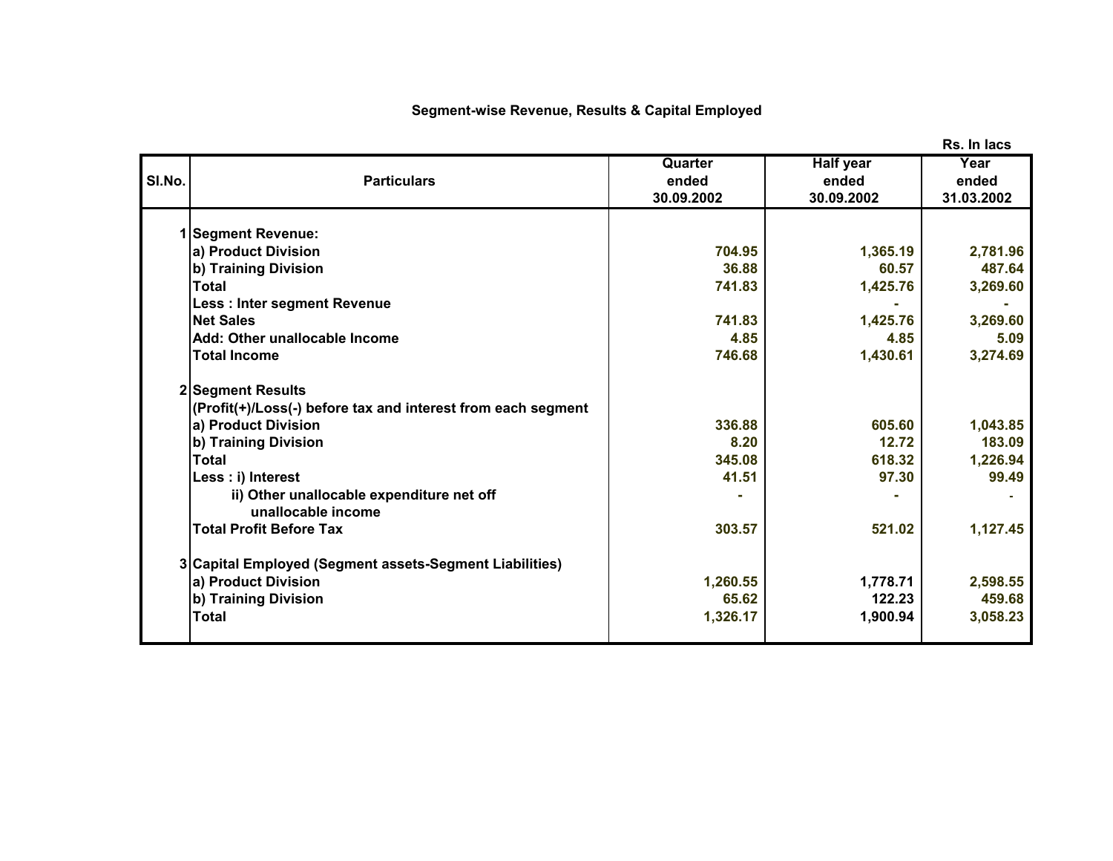## **Segment-wise Revenue, Results & Capital Employed**

|        |                                                              |            |            | נשטו ווו ומט |
|--------|--------------------------------------------------------------|------------|------------|--------------|
|        |                                                              | Quarter    | Half year  | Year         |
| SI.No. | <b>Particulars</b>                                           | ended      | ended      | ended        |
|        |                                                              | 30.09.2002 | 30.09.2002 | 31.03.2002   |
|        |                                                              |            |            |              |
|        | <b>Segment Revenue:</b>                                      |            |            |              |
|        | a) Product Division                                          | 704.95     | 1,365.19   | 2,781.96     |
|        | b) Training Division                                         | 36.88      | 60.57      | 487.64       |
|        | <b>Total</b>                                                 | 741.83     | 1,425.76   | 3,269.60     |
|        | <b>Less: Inter segment Revenue</b>                           |            |            |              |
|        | <b>Net Sales</b>                                             | 741.83     | 1,425.76   | 3,269.60     |
|        | Add: Other unallocable Income                                | 4.85       | 4.85       | 5.09         |
|        | <b>Total Income</b>                                          | 746.68     | 1,430.61   | 3,274.69     |
|        | 2 Segment Results                                            |            |            |              |
|        | (Profit(+)/Loss(-) before tax and interest from each segment |            |            |              |
|        | a) Product Division                                          | 336.88     | 605.60     | 1,043.85     |
|        | b) Training Division                                         | 8.20       | 12.72      | 183.09       |
|        | <b>Total</b>                                                 | 345.08     | 618.32     | 1,226.94     |
|        | Less : i) Interest                                           | 41.51      | 97.30      | 99.49        |
|        | ii) Other unallocable expenditure net off                    |            |            |              |
|        | unallocable income                                           |            |            |              |
|        | <b>Total Profit Before Tax</b>                               | 303.57     | 521.02     | 1,127.45     |
|        | 3 Capital Employed (Segment assets-Segment Liabilities)      |            |            |              |
|        | a) Product Division                                          | 1,260.55   | 1,778.71   | 2,598.55     |
|        | b) Training Division                                         | 65.62      | 122.23     | 459.68       |
|        | <b>Total</b>                                                 | 1,326.17   | 1,900.94   | 3,058.23     |
|        |                                                              |            |            |              |
|        |                                                              |            |            |              |

**Rs. In lacs**